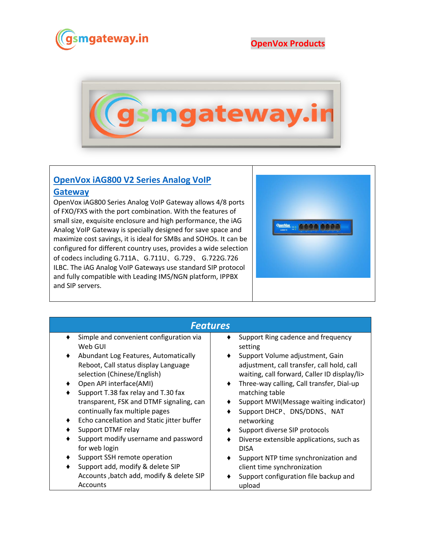

## **OpenVox Products**



## **[OpenVox iAG800 V2 Series Analog VoIP](https://www.gsmgateway.in/openvox/OpenVox-iAG800-V2-Series-Analog-VoIP-Gateway.html)**

## **[Gateway](https://www.gsmgateway.in/openvox/OpenVox-iAG800-V2-Series-Analog-VoIP-Gateway.html)**

OpenVox iAG800 Series Analog VoIP Gateway allows 4/8 ports of FXO/FXS with the port combination. With the features of small size, exquisite enclosure and high performance, the iAG Analog VoIP Gateway is specially designed for save space and maximize cost savings, it is ideal for SMBs and SOHOs. It can be configured for different country uses, provides a wide selection of codecs including G.711A、G.711U、G.729、 G.722G.726 ILBC. The iAG Analog VoIP Gateways use standard SIP protocol and fully compatible with Leading IMS/NGN platform, IPPBX and SIP servers.



| <b>Features</b>                            |                                                        |  |  |  |
|--------------------------------------------|--------------------------------------------------------|--|--|--|
| Simple and convenient configuration via    | Support Ring cadence and frequency                     |  |  |  |
| Web GUI                                    | setting                                                |  |  |  |
| Abundant Log Features, Automatically       | Support Volume adjustment, Gain                        |  |  |  |
| Reboot, Call status display Language       | adjustment, call transfer, call hold, call             |  |  |  |
| selection (Chinese/English)                | waiting, call forward, Caller ID display/li>           |  |  |  |
| Open API interface(AMI)                    | Three-way calling, Call transfer, Dial-up<br>$\bullet$ |  |  |  |
| Support T.38 fax relay and T.30 fax        | matching table                                         |  |  |  |
| transparent, FSK and DTMF signaling, can   | Support MWI(Message waiting indicator)                 |  |  |  |
| continually fax multiple pages             | Support DHCP、DNS/DDNS、NAT                              |  |  |  |
| Echo cancellation and Static jitter buffer | networking                                             |  |  |  |
| Support DTMF relay                         | Support diverse SIP protocols                          |  |  |  |
| Support modify username and password       | Diverse extensible applications, such as               |  |  |  |
| for web login                              | <b>DISA</b>                                            |  |  |  |
| Support SSH remote operation               | Support NTP time synchronization and                   |  |  |  |
| Support add, modify & delete SIP           | client time synchronization                            |  |  |  |
| Accounts, batch add, modify & delete SIP   | Support configuration file backup and                  |  |  |  |
| Accounts                                   | upload                                                 |  |  |  |